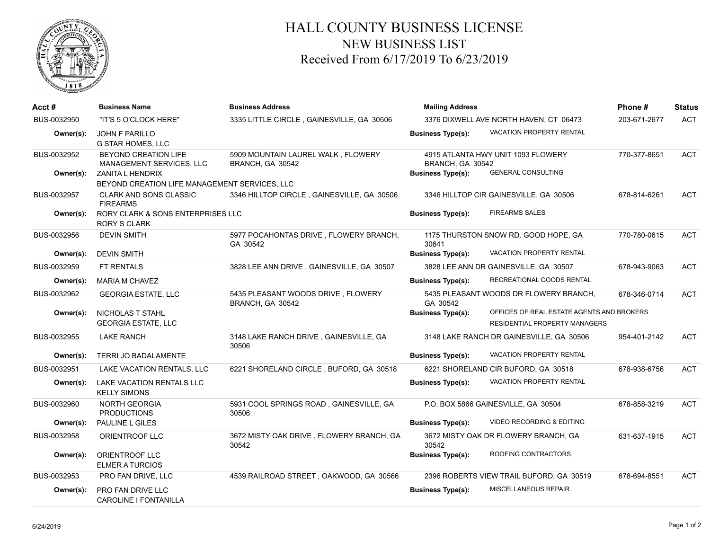

## HALL COUNTY BUSINESS LICENSE NEW BUSINESS LIST Received From 6/17/2019 To 6/23/2019

| Acct #      | <b>Business Name</b>                                                                                 | <b>Business Address</b>                                | <b>Mailing Address</b>                 |                                                                            | Phone #      | <b>Status</b> |
|-------------|------------------------------------------------------------------------------------------------------|--------------------------------------------------------|----------------------------------------|----------------------------------------------------------------------------|--------------|---------------|
| BUS-0032950 | "IT'S 5 O'CLOCK HERE"                                                                                | 3335 LITTLE CIRCLE, GAINESVILLE, GA 30506              | 3376 DIXWELL AVE NORTH HAVEN, CT 06473 |                                                                            | 203-671-2677 | <b>ACT</b>    |
| Owner(s):   | <b>JOHN F PARILLO</b><br><b>G STAR HOMES, LLC</b>                                                    |                                                        | <b>Business Type(s):</b>               | VACATION PROPERTY RENTAL                                                   |              |               |
| BUS-0032952 | BEYOND CREATION LIFE<br>MANAGEMENT SERVICES, LLC                                                     | 5909 MOUNTAIN LAUREL WALK, FLOWERY<br>BRANCH, GA 30542 | BRANCH, GA 30542                       | 4915 ATLANTA HWY UNIT 1093 FLOWERY<br><b>GENERAL CONSULTING</b>            | 770-377-8651 | <b>ACT</b>    |
| Owner(s):   | <b>ZANITA L HENDRIX</b><br><b>Business Type(s):</b><br>BEYOND CREATION LIFE MANAGEMENT SERVICES. LLC |                                                        |                                        |                                                                            |              |               |
| BUS-0032957 | <b>CLARK AND SONS CLASSIC</b><br><b>FIREARMS</b>                                                     | 3346 HILLTOP CIRCLE, GAINESVILLE, GA 30506             |                                        | 3346 HILLTOP CIR GAINESVILLE, GA 30506                                     | 678-814-6261 | ACT           |
| Owner(s):   | RORY CLARK & SONS ENTERPRISES LLC<br><b>RORY S CLARK</b>                                             |                                                        | <b>Business Type(s):</b>               | <b>FIREARMS SALES</b>                                                      |              |               |
| BUS-0032956 | <b>DEVIN SMITH</b>                                                                                   | 5977 POCAHONTAS DRIVE, FLOWERY BRANCH,<br>GA 30542     | 30641                                  | 1175 THURSTON SNOW RD. GOOD HOPE, GA                                       | 770-780-0615 | ACT           |
| Owner(s):   | <b>DEVIN SMITH</b>                                                                                   |                                                        | <b>Business Type(s):</b>               | VACATION PROPERTY RENTAL                                                   |              |               |
| BUS-0032959 | <b>FT RENTALS</b>                                                                                    | 3828 LEE ANN DRIVE, GAINESVILLE, GA 30507              |                                        | 3828 LEE ANN DR GAINESVILLE, GA 30507                                      | 678-943-9063 | <b>ACT</b>    |
| Owner(s):   | <b>MARIA M CHAVEZ</b>                                                                                |                                                        | <b>Business Type(s):</b>               | RECREATIONAL GOODS RENTAL                                                  |              |               |
| BUS-0032962 | <b>GEORGIA ESTATE, LLC</b>                                                                           | 5435 PLEASANT WOODS DRIVE, FLOWERY<br>BRANCH, GA 30542 | GA 30542                               | 5435 PLEASANT WOODS DR FLOWERY BRANCH,                                     | 678-346-0714 | <b>ACT</b>    |
| Owner(s):   | NICHOLAS T STAHL<br><b>GEORGIA ESTATE, LLC</b>                                                       |                                                        | <b>Business Type(s):</b>               | OFFICES OF REAL ESTATE AGENTS AND BROKERS<br>RESIDENTIAL PROPERTY MANAGERS |              |               |
| BUS-0032955 | <b>LAKE RANCH</b>                                                                                    | 3148 LAKE RANCH DRIVE, GAINESVILLE, GA<br>30506        |                                        | 3148 LAKE RANCH DR GAINESVILLE, GA 30506                                   | 954-401-2142 | <b>ACT</b>    |
| Owner(s):   | TERRI JO BADALAMENTE                                                                                 |                                                        | <b>Business Type(s):</b>               | VACATION PROPERTY RENTAL                                                   |              |               |
| BUS-0032951 | LAKE VACATION RENTALS, LLC                                                                           | 6221 SHORELAND CIRCLE, BUFORD, GA 30518                |                                        | 6221 SHORELAND CIR BUFORD, GA 30518                                        | 678-938-6756 | <b>ACT</b>    |
| Owner(s):   | LAKE VACATION RENTALS LLC<br><b>KELLY SIMONS</b>                                                     |                                                        | <b>Business Type(s):</b>               | VACATION PROPERTY RENTAL                                                   |              |               |
| BUS-0032960 | <b>NORTH GEORGIA</b><br><b>PRODUCTIONS</b>                                                           | 5931 COOL SPRINGS ROAD, GAINESVILLE, GA<br>30506       |                                        | P.O. BOX 5866 GAINESVILLE, GA 30504                                        | 678-858-3219 | <b>ACT</b>    |
| Owner(s):   | PAULINE L GILES                                                                                      |                                                        | <b>Business Type(s):</b>               | <b>VIDEO RECORDING &amp; EDITING</b>                                       |              |               |
| BUS-0032958 | ORIENTROOF LLC                                                                                       | 3672 MISTY OAK DRIVE, FLOWERY BRANCH, GA<br>30542      | 30542                                  | 3672 MISTY OAK DR FLOWERY BRANCH, GA                                       | 631-637-1915 | <b>ACT</b>    |
| Owner(s):   | ORIENTROOF LLC<br><b>ELMER A TURCIOS</b>                                                             |                                                        | <b>Business Type(s):</b>               | ROOFING CONTRACTORS                                                        |              |               |
| BUS-0032953 | PRO FAN DRIVE, LLC                                                                                   | 4539 RAILROAD STREET, OAKWOOD, GA 30566                |                                        | 2396 ROBERTS VIEW TRAIL BUFORD, GA 30519                                   | 678-694-8551 | <b>ACT</b>    |
| Owner(s):   | PRO FAN DRIVE LLC<br><b>CAROLINE I FONTANILLA</b>                                                    |                                                        | <b>Business Type(s):</b>               | <b>MISCELLANEOUS REPAIR</b>                                                |              |               |